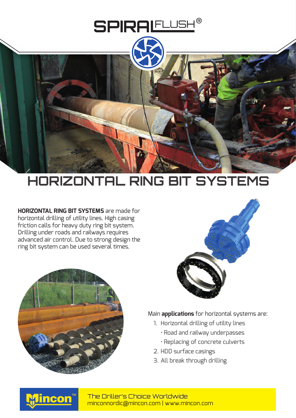

## **HORIZONTAL RING BIT SYSTEMS**

**HORIZONTAL RING BIT SYSTEMS** are made for horizontal drilling of utility lines. High casing friction calls for heavy duty ring bit system. Drilling under roads and railways requires advanced air control. Due to strong design the ring bit system can be used several times.





## Main **applications** for horizontal systems are:

- 1. Horizontal drilling of utility lines
	- Road and railway underpasses
	- Replacing of concrete culverts
- 2. HDD surface casings
- 3. All break through drilling



minconnordic@mincon.com | www.mincon.com The Driller's Choice Worldwide